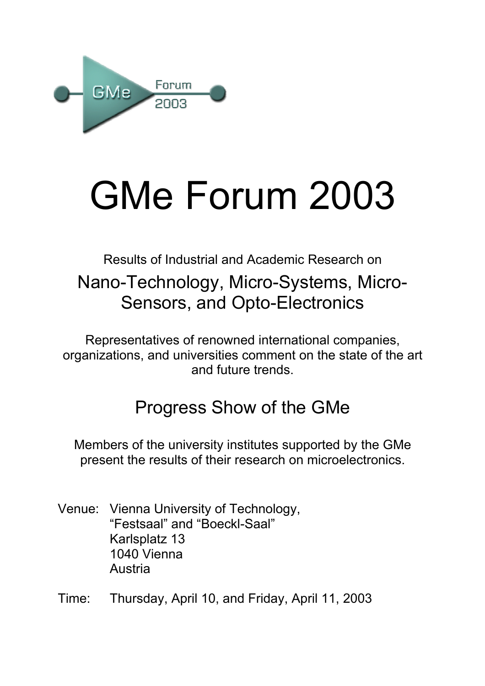

# GMe Forum 2003

# Results of Industrial and Academic Research on Nano-Technology, Micro-Systems, Micro-Sensors, and Opto-Electronics

Representatives of renowned international companies, organizations, and universities comment on the state of the art and future trends.

# Progress Show of the GMe

Members of the university institutes supported by the GMe present the results of their research on microelectronics.

- Venue: Vienna University of Technology, "Festsaal" and "Boeckl-Saal" Karlsplatz 13 1040 Vienna Austria
- Time: Thursday, April 10, and Friday, April 11, 2003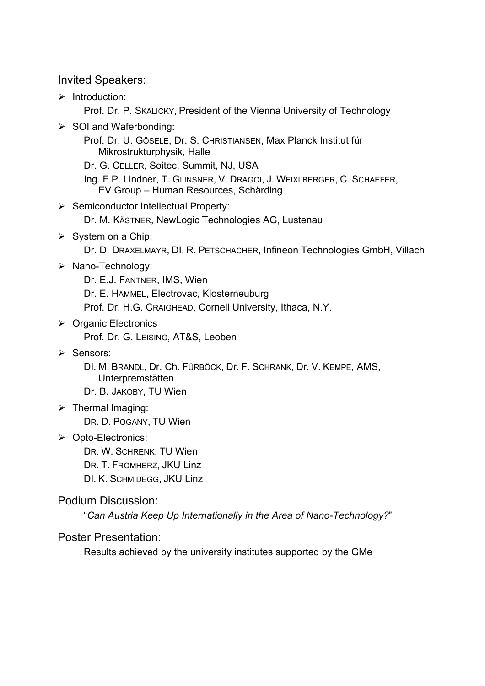#### Invited Speakers:

 $\triangleright$  Introduction:

Prof. Dr. P. SKALICKY, President of the Vienna University of Technology

 $\triangleright$  SOI and Waferbonding:

Prof. Dr. U. GÖSELE, Dr. S. CHRISTIANSEN, Max Planck Institut für Mikrostrukturphysik, Halle

Dr. G. CELLER, Soitec, Summit, NJ, USA

Ing. F.P. Lindner, T. GLINSNER, V. DRAGOI, J. WEIXLBERGER, C. SCHAEFER, EV Group – Human Resources, Schärding

¾ Semiconductor Intellectual Property:

Dr. M. KÄSTNER, NewLogic Technologies AG, Lustenau

 $\triangleright$  System on a Chip:

Dr. D. DRAXELMAYR, DI. R. PETSCHACHER, Infineon Technologies GmbH, Villach

¾ Nano-Technology:

Dr. E.J. FANTNER, IMS, Wien Dr. E. HAMMEL, Electrovac, Klosterneuburg Prof. Dr. H.G. CRAIGHEAD, Cornell University, Ithaca, N.Y.

- $\triangleright$  Organic Electronics Prof. Dr. G. LEISING, AT&S, Leoben
- ¾ Sensors:

DI. M. BRANDL, Dr. Ch. FÜRBÖCK, Dr. F. SCHRANK, Dr. V. KEMPE, AMS, Unterpremstätten

Dr. B. JAKOBY, TU Wien

 $\triangleright$  Thermal Imaging:

DR. D. POGANY, TU Wien

¾ Opto-Electronics:

DR. W. SCHRENK, TU Wien

- DR. T. FROMHERZ, JKU Linz
- DI. K. SCHMIDEGG, JKU Linz

#### Podium Discussion:

"*Can Austria Keep Up Internationally in the Area of Nano-Technology?*"

#### Poster Presentation:

Results achieved by the university institutes supported by the GMe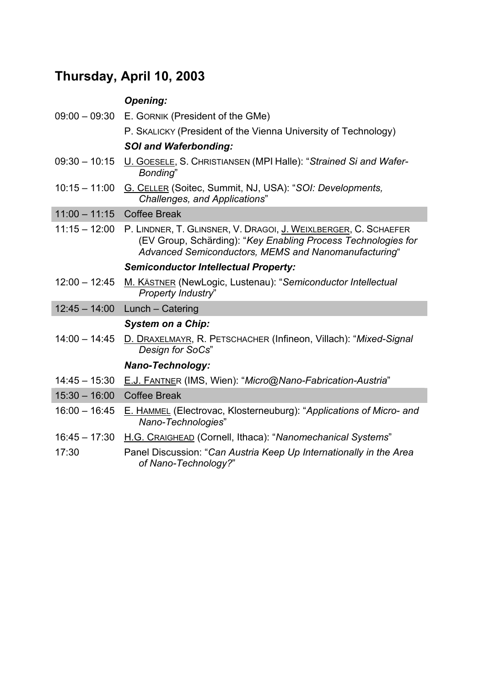# **Thursday, April 10, 2003**

## *Opening:*

|                 | 09:00 - 09:30 E. GORNIK (President of the GMe)                                                                                                                                           |
|-----------------|------------------------------------------------------------------------------------------------------------------------------------------------------------------------------------------|
|                 | P. SKALICKY (President of the Vienna University of Technology)                                                                                                                           |
|                 | <b>SOI and Waferbonding:</b>                                                                                                                                                             |
| $09:30 - 10:15$ | U. GOESELE, S. CHRISTIANSEN (MPI Halle): "Strained Si and Wafer-<br>Bonding"                                                                                                             |
| $10:15 - 11:00$ | G. CELLER (Soitec, Summit, NJ, USA): "SOI: Developments,<br>Challenges, and Applications"                                                                                                |
| $11:00 - 11:15$ | <b>Coffee Break</b>                                                                                                                                                                      |
| $11:15 - 12:00$ | P. LINDNER, T. GLINSNER, V. DRAGOI, J. WEIXLBERGER, C. SCHAEFER<br>(EV Group, Schärding): "Key Enabling Process Technologies for<br>Advanced Semiconductors, MEMS and Nanomanufacturing" |
|                 | <b>Semiconductor Intellectual Property:</b>                                                                                                                                              |
| $12:00 - 12:45$ | M. KÄSTNER (NewLogic, Lustenau): "Semiconductor Intellectual<br>Property Industry"                                                                                                       |
| $12:45 - 14:00$ | Lunch - Catering                                                                                                                                                                         |
|                 | <b>System on a Chip:</b>                                                                                                                                                                 |
| $14:00 - 14:45$ | D. DRAXELMAYR, R. PETSCHACHER (Infineon, Villach): "Mixed-Signal<br>Design for SoCs"                                                                                                     |
|                 | Nano-Technology:                                                                                                                                                                         |
| $14:45 - 15:30$ | E.J. FANTNER (IMS, Wien): "Micro@Nano-Fabrication-Austria"                                                                                                                               |
| $15:30 - 16:00$ | <b>Coffee Break</b>                                                                                                                                                                      |
| $16:00 - 16:45$ | <b>E. HAMMEL (Electrovac, Klosterneuburg): "Applications of Micro- and</b><br>Nano-Technologies"                                                                                         |
| $16:45 - 17:30$ | H.G. CRAIGHEAD (Cornell, Ithaca): "Nanomechanical Systems"                                                                                                                               |
| 17:30           | Panel Discussion: "Can Austria Keep Up Internationally in the Area<br>of Nano-Technology?"                                                                                               |